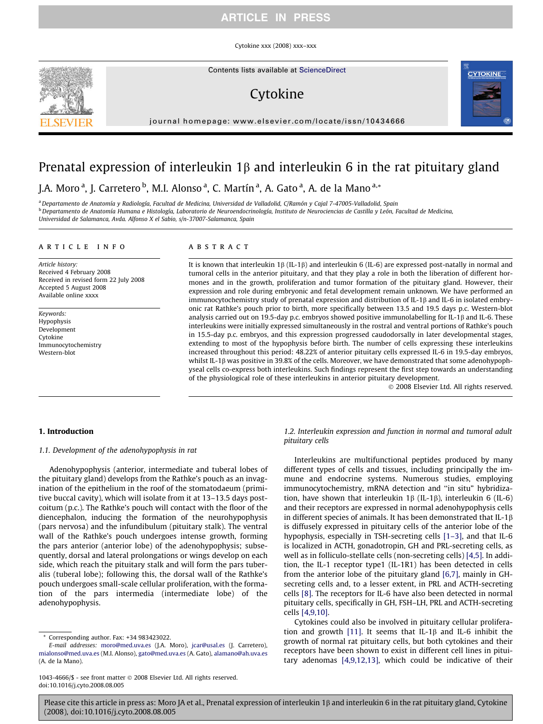Cytokine xxx (2008) xxx–xxx

Contents lists available at [ScienceDirect](http://www.sciencedirect.com/science/journal/10434666)

# Cytokine

journal homepage: [www.elsevier.com/locate/issn/10434666](http://www.elsevier.com/locate/issn/10434666)

# Prenatal expression of interleukin  $1\beta$  and interleukin 6 in the rat pituitary gland

# J.A. Moro <sup>a</sup>, J. Carretero <sup>b</sup>, M.I. Alonso <sup>a</sup>, C. Martín <sup>a</sup>, A. Gato <sup>a</sup>, A. de la Mano <sup>a,</sup>\*

a Departamento de Anatomía y Radiología, Facultad de Medicina, Universidad de Valladolid, C/Ramón y Cajal 7-47005-Valladolid. Spain <sup>b</sup> Departamento de Anatomía Humana e Histología, Laboratorio de Neuroendocrinología, Instituto de Neurociencias de Castilla y León, Facultad de Medicina, Universidad de Salamanca, Avda. Alfonso X el Sabio, s/n-37007-Salamanca, Spain

#### article info

Article history: Received 4 February 2008 Received in revised form 22 July 2008 Accepted 5 August 2008 Available online xxxx

Keywords: Hypophysis Development Cytokine Immunocytochemistry Western-blot

# **ABSTRACT**

It is known that interleukin  $1\beta$  (IL-1 $\beta$ ) and interleukin 6 (IL-6) are expressed post-natally in normal and tumoral cells in the anterior pituitary, and that they play a role in both the liberation of different hormones and in the growth, proliferation and tumor formation of the pituitary gland. However, their expression and role during embryonic and fetal development remain unknown. We have performed an immunocytochemistry study of prenatal expression and distribution of IL-1 $\beta$  and IL-6 in isolated embryonic rat Rathke's pouch prior to birth, more specifically between 13.5 and 19.5 days p.c. Western-blot analysis carried out on 19.5-day p.c. embryos showed positive immunolabelling for IL-1 $\beta$  and IL-6. These interleukins were initially expressed simultaneously in the rostral and ventral portions of Rathke's pouch in 15.5-day p.c. embryos, and this expression progressed caudodorsally in later developmental stages, extending to most of the hypophysis before birth. The number of cells expressing these interleukins increased throughout this period: 48.22% of anterior pituitary cells expressed IL-6 in 19.5-day embryos, whilst IL-1 $\beta$  was positive in 39.8% of the cells. Moreover, we have demonstrated that some adenohypophyseal cells co-express both interleukins. Such findings represent the first step towards an understanding of the physiological role of these interleukins in anterior pituitary development.

- 2008 Elsevier Ltd. All rights reserved.

### 1. Introduction

## 1.1. Development of the adenohypophysis in rat

Adenohypophysis (anterior, intermediate and tuberal lobes of the pituitary gland) develops from the Rathke's pouch as an invagination of the epithelium in the roof of the stomatodaeum (primitive buccal cavity), which will isolate from it at 13–13.5 days postcoitum (p.c.). The Rathke's pouch will contact with the floor of the diencephalon, inducing the formation of the neurohypophysis (pars nervosa) and the infundibulum (pituitary stalk). The ventral wall of the Rathke's pouch undergoes intense growth, forming the pars anterior (anterior lobe) of the adenohypophysis; subsequently, dorsal and lateral prolongations or wings develop on each side, which reach the pituitary stalk and will form the pars tuberalis (tuberal lobe); following this, the dorsal wall of the Rathke's pouch undergoes small-scale cellular proliferation, with the formation of the pars intermedia (intermediate lobe) of the adenohypophysis.

# 1.2. Interleukin expression and function in normal and tumoral adult pituitary cells

Interleukins are multifunctional peptides produced by many different types of cells and tissues, including principally the immune and endocrine systems. Numerous studies, employing immunocytochemistry, mRNA detection and ''in situ" hybridization, have shown that interleukin  $1\beta$  (IL-1 $\beta$ ), interleukin 6 (IL-6) and their receptors are expressed in normal adenohypophysis cells in different species of animals. It has been demonstrated that IL-1 $\beta$ is diffusely expressed in pituitary cells of the anterior lobe of the hypophysis, especially in TSH-secreting cells [\[1–3\],](#page-6-0) and that IL-6 is localized in ACTH, gonadotropin, GH and PRL-secreting cells, as well as in folliculo-stellate cells (non-secreting cells) [\[4,5\].](#page-6-0) In addition, the IL-1 receptor type1 (IL-1R1) has been detected in cells from the anterior lobe of the pituitary gland [\[6,7\],](#page-6-0) mainly in GHsecreting cells and, to a lesser extent, in PRL and ACTH-secreting cells [\[8\].](#page-6-0) The receptors for IL-6 have also been detected in normal pituitary cells, specifically in GH, FSH–LH, PRL and ACTH-secreting cells [\[4,9,10\].](#page-6-0)

Cytokines could also be involved in pituitary cellular prolifera-tion and growth [\[11\]](#page-6-0). It seems that IL-1 $\beta$  and IL-6 inhibit the growth of normal rat pituitary cells, but both cytokines and their receptors have been shown to exist in different cell lines in pituitary adenomas [\[4,9,12,13\]](#page-6-0), which could be indicative of their





Corresponding author. Fax: +34 983423022.

E-mail addresses: [moro@med.uva.es](mailto:moro@med.uva.es) (J.A. Moro), [jcar@usal.es](mailto:jcar@usal.es) (J. Carretero), [mialonso@med.uva.es](mailto:mialonso@med.uva.es) (M.I. Alonso), [gato@med.uva.es](mailto:gato@med.uva.es) (A. Gato), [alamano@ah.uva.es](mailto:alamano@ah.uva.es) (A. de la Mano).

<sup>1043-4666/\$ -</sup> see front matter © 2008 Elsevier Ltd. All rights reserved. doi:10.1016/j.cyto.2008.08.005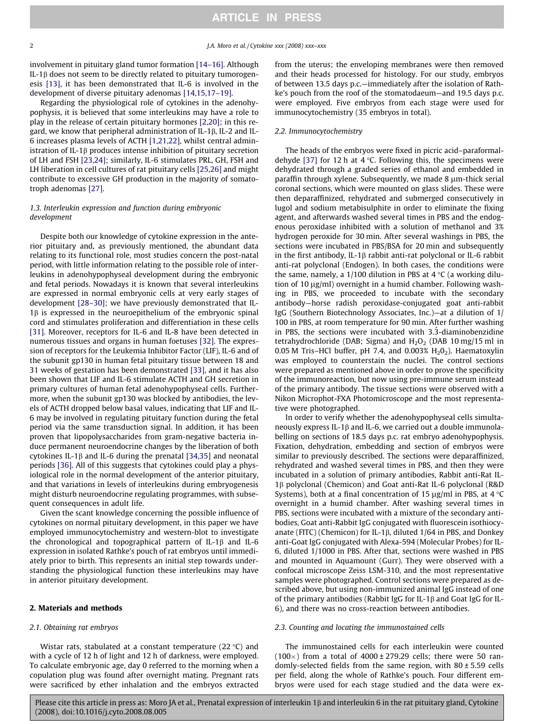involvement in pituitary gland tumor formation [\[14–16\].](#page-6-0) Although IL-1b does not seem to be directly related to pituitary tumorogenesis [\[13\]](#page-6-0), it has been demonstrated that IL-6 is involved in the development of diverse pituitary adenomas [\[14,15,17–19\].](#page-6-0)

Regarding the physiological role of cytokines in the adenohypophysis, it is believed that some interleukins may have a role to play in the release of certain pituitary hormones [\[2,20\]](#page-6-0); in this regard, we know that peripheral administration of IL-1 $\beta$ , IL-2 and IL-6 increases plasma levels of ACTH [\[1,21,22\]](#page-6-0), whilst central administration of IL-1 $\beta$  produces intense inhibition of pituitary secretion of LH and FSH [\[23,24\];](#page-6-0) similarly, IL-6 stimulates PRL, GH, FSH and LH liberation in cell cultures of rat pituitary cells [\[25,26\]](#page-6-0) and might contribute to excessive GH production in the majority of somatotroph adenomas [\[27\].](#page-6-0)

## 1.3. Interleukin expression and function during embryonic development

Despite both our knowledge of cytokine expression in the anterior pituitary and, as previously mentioned, the abundant data relating to its functional role, most studies concern the post-natal period, with little information relating to the possible role of interleukins in adenohypophyseal development during the embryonic and fetal periods. Nowadays it is known that several interleukins are expressed in normal embryonic cells at very early stages of development [\[28–30\]](#page-6-0); we have previously demonstrated that IL- $1\beta$  is expressed in the neuroepithelium of the embryonic spinal cord and stimulates proliferation and differentiation in these cells [\[31\]](#page-6-0). Moreover, receptors for IL-6 and IL-8 have been detected in numerous tissues and organs in human foetuses [\[32\].](#page-6-0) The expression of receptors for the Leukemia Inhibitor Factor (LIF), IL-6 and of the subunit gp130 in human fetal pituitary tissue between 18 and 31 weeks of gestation has been demonstrated [\[33\],](#page-6-0) and it has also been shown that LIF and IL-6 stimulate ACTH and GH secretion in primary cultures of human fetal adenohypophyseal cells. Furthermore, when the subunit gp130 was blocked by antibodies, the levels of ACTH dropped below basal values, indicating that LIF and IL-6 may be involved in regulating pituitary function during the fetal period via the same transduction signal. In addition, it has been proven that lipopolysaccharides from gram-negative bacteria induce permanent neuroendocrine changes by the liberation of both cytokines IL-1 $\beta$  and IL-6 during the prenatal [\[34,35\]](#page-6-0) and neonatal periods [\[36\].](#page-6-0) All of this suggests that cytokines could play a physiological role in the normal development of the anterior pituitary, and that variations in levels of interleukins during embryogenesis might disturb neuroendocrine regulating programmes, with subsequent consequences in adult life.

Given the scant knowledge concerning the possible influence of cytokines on normal pituitary development, in this paper we have employed immunocytochemistry and western-blot to investigate the chronological and topographical pattern of IL-1 $\beta$  and IL-6 expression in isolated Rathke's pouch of rat embryos until immediately prior to birth. This represents an initial step towards understanding the physiological function these interleukins may have in anterior pituitary development.

### 2. Materials and methods

#### 2.1. Obtaining rat embryos

Wistar rats, stabulated at a constant temperature  $(22 \text{ }^{\circ}C)$  and with a cycle of 12 h of light and 12 h of darkness, were employed. To calculate embryonic age, day 0 referred to the morning when a copulation plug was found after overnight mating. Pregnant rats were sacrificed by ether inhalation and the embryos extracted

from the uterus; the enveloping membranes were then removed and their heads processed for histology. For our study, embryos of between 13.5 days p.c.—immediately after the isolation of Rathke's pouch from the roof of the stomatodaeum—and 19.5 days p.c. were employed. Five embryos from each stage were used for immunocytochemistry (35 embryos in total).

#### 2.2. Immunocytochemistry

The heads of the embryos were fixed in picric acid–paraformal-dehyde [\[37\]](#page-6-0) for 12 h at 4  $\degree$ C. Following this, the specimens were dehydrated through a graded series of ethanol and embedded in paraffin through xylene. Subsequently, we made  $8 \mu$ m-thick serial coronal sections, which were mounted on glass slides. These were then deparaffinized, rehydrated and submerged consecutively in lugol and sodium metabisulphite in order to eliminate the fixing agent, and afterwards washed several times in PBS and the endogenous peroxidase inhibited with a solution of methanol and 3% hydrogen peroxide for 30 min. After several washings in PBS, the sections were incubated in PBS/BSA for 20 min and subsequently in the first antibody, IL-1 $\beta$  rabbit anti-rat polyclonal or IL-6 rabbit anti-rat polyclonal (Endogen). In both cases, the conditions were the same, namely, a 1/100 dilution in PBS at  $4^{\circ}C$  (a working dilution of 10  $\mu$ g/ml) overnight in a humid chamber. Following washing in PBS, we proceeded to incubate with the secondary antibody—horse radish peroxidase-conjugated goat anti-rabbit IgG (Southern Biotechnology Associates, Inc.)—at a dilution of 1/ 100 in PBS, at room temperature for 90 min. After further washing in PBS, the sections were incubated with 3.3-diaminobenzidine tetrahydrochloride (DAB; Sigma) and  $H_2O_2$  (DAB 10 mg/15 ml in 0.05 M Tris–HCl buffer, pH 7.4, and 0.003%  $H<sub>2</sub>O<sub>2</sub>$ ). Haematoxylin was employed to counterstain the nuclei. The control sections were prepared as mentioned above in order to prove the specificity of the immunoreaction, but now using pre-immune serum instead of the primary antibody. The tissue sections were observed with a Nikon Microphot-FXA Photomicroscope and the most representative were photographed.

In order to verify whether the adenohypophyseal cells simultaneously express IL-1 $\beta$  and IL-6, we carried out a double immunolabelling on sections of 18.5 days p.c. rat embryo adenohypophysis. Fixation, dehydration, embedding and section of embryos were similar to previously described. The sections were deparaffinized, rehydrated and washed several times in PBS, and then they were incubated in a solution of primary antibodies, Rabbit anti-Rat IL-1b polyclonal (Chemicon) and Goat anti-Rat IL-6 polyclonal (R&D Systems), both at a final concentration of 15  $\mu$ g/ml in PBS, at 4 °C overnight in a humid chamber. After washing several times in PBS, sections were incubated with a mixture of the secondary antibodies, Goat anti-Rabbit IgG conjugated with fluorescein isothiocyanate (FITC) (Chemicon) for IL-1 $\beta$ , diluted 1/64 in PBS, and Donkey anti-Goat IgG conjugated with Alexa-594 (Molecular Probes) for IL-6, diluted 1/1000 in PBS. After that, sections were washed in PBS and mounted in Aquamount (Gurr). They were observed with a confocal microscope Zeiss LSM-310, and the most representative samples were photographed. Control sections were prepared as described above, but using non-immunized animal IgG instead of one of the primary antibodies (Rabbit IgG for IL-1 $\beta$  and Goat IgG for IL-6), and there was no cross-reaction between antibodies.

#### 2.3. Counting and locating the immunostained cells

The immunostained cells for each interleukin were counted  $(100\times)$  from a total of  $4000 \pm 279.29$  cells; there were 50 randomly-selected fields from the same region, with  $80 \pm 5.59$  cells per field, along the whole of Rathke's pouch. Four different embryos were used for each stage studied and the data were ex-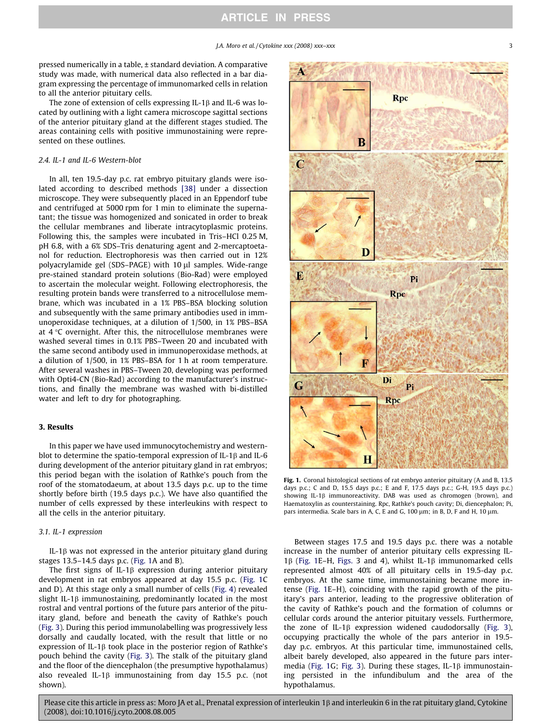pressed numerically in a table, ± standard deviation. A comparative study was made, with numerical data also reflected in a bar diagram expressing the percentage of immunomarked cells in relation to all the anterior pituitary cells.

The zone of extension of cells expressing IL-1 $\beta$  and IL-6 was located by outlining with a light camera microscope sagittal sections of the anterior pituitary gland at the different stages studied. The areas containing cells with positive immunostaining were represented on these outlines.

# 2.4. IL-1 and IL-6 Western-blot

In all, ten 19.5-day p.c. rat embryo pituitary glands were isolated according to described methods [\[38\]](#page-6-0) under a dissection microscope. They were subsequently placed in an Eppendorf tube and centrifuged at 5000 rpm for 1 min to eliminate the supernatant; the tissue was homogenized and sonicated in order to break the cellular membranes and liberate intracytoplasmic proteins. Following this, the samples were incubated in Tris–HCl 0.25 M, pH 6.8, with a 6% SDS–Tris denaturing agent and 2-mercaptoetanol for reduction. Electrophoresis was then carried out in 12% polyacrylamide gel (SDS–PAGE) with 10 µl samples. Wide-range pre-stained standard protein solutions (Bio-Rad) were employed to ascertain the molecular weight. Following electrophoresis, the resulting protein bands were transferred to a nitrocellulose membrane, which was incubated in a 1% PBS–BSA blocking solution and subsequently with the same primary antibodies used in immunoperoxidase techniques, at a dilution of 1/500, in 1% PBS–BSA at  $4^{\circ}$ C overnight. After this, the nitrocellulose membranes were washed several times in 0.1% PBS–Tween 20 and incubated with the same second antibody used in immunoperoxidase methods, at a dilution of 1/500, in 1% PBS–BSA for 1 h at room temperature. After several washes in PBS–Tween 20, developing was performed with Opti4-CN (Bio-Rad) according to the manufacturer's instructions, and finally the membrane was washed with bi-distilled water and left to dry for photographing.

## 3. Results

In this paper we have used immunocytochemistry and westernblot to determine the spatio-temporal expression of IL-1 $\beta$  and IL-6 during development of the anterior pituitary gland in rat embryos; this period began with the isolation of Rathke's pouch from the roof of the stomatodaeum, at about 13.5 days p.c. up to the time shortly before birth (19.5 days p.c.). We have also quantified the number of cells expressed by these interleukins with respect to all the cells in the anterior pituitary.

#### 3.1. IL-1 expression

IL-1 $\beta$  was not expressed in the anterior pituitary gland during stages 13.5–14.5 days p.c. (Fig. 1A and B).

The first signs of IL-1 $\beta$  expression during anterior pituitary development in rat embryos appeared at day 15.5 p.c. (Fig. 1C and D). At this stage only a small number of cells ([Fig. 4\)](#page-4-0) revealed slight IL-1 $\beta$  immunostaining, predominantly located in the most rostral and ventral portions of the future pars anterior of the pituitary gland, before and beneath the cavity of Rathke's pouch ([Fig. 3\)](#page-4-0). During this period immunolabelling was progressively less dorsally and caudally located, with the result that little or no expression of IL-1 $\beta$  took place in the posterior region of Rathke's pouch behind the cavity ([Fig. 3\)](#page-4-0). The stalk of the pituitary gland and the floor of the diencephalon (the presumptive hypothalamus) also revealed IL-1 $\beta$  immunostaining from day 15.5 p.c. (not shown).



Fig. 1. Coronal histological sections of rat embryo anterior pituitary (A and B, 13.5 days p.c.; C and D, 15.5 days p.c.; E and F, 17.5 days p.c.; G-H, 19.5 days p.c.) showing IL-1 $\beta$  immunoreactivity. DAB was used as chromogen (brown), and Haematoxylin as counterstaining. Rpc, Rathke's pouch cavity; Di, diencephalon; Pi, pars intermedia. Scale bars in A, C, E and G, 100  $\mu$ m; in B, D, F and H, 10  $\mu$ m.

Between stages 17.5 and 19.5 days p.c. there was a notable increase in the number of anterior pituitary cells expressing IL-1 $\beta$  (Fig. 1E–H, [Figs.](#page-4-0) 3 and 4), whilst IL-1 $\beta$  immunomarked cells represented almost 40% of all pituitary cells in 19.5-day p.c. embryos. At the same time, immunostaining became more intense (Fig. 1E–H), coinciding with the rapid growth of the pituitary's pars anterior, leading to the progressive obliteration of the cavity of Rathke's pouch and the formation of columns or cellular cords around the anterior pituitary vessels. Furthermore, the zone of IL-1 $\beta$  expression widened caudodorsally ([Fig. 3\)](#page-4-0), occupying practically the whole of the pars anterior in 19.5 day p.c. embryos. At this particular time, immunostained cells, albeit barely developed, also appeared in the future pars inter-media (Fig. 1G; [Fig. 3](#page-4-0)). During these stages, IL-1 $\beta$  immunostaining persisted in the infundibulum and the area of the hypothalamus.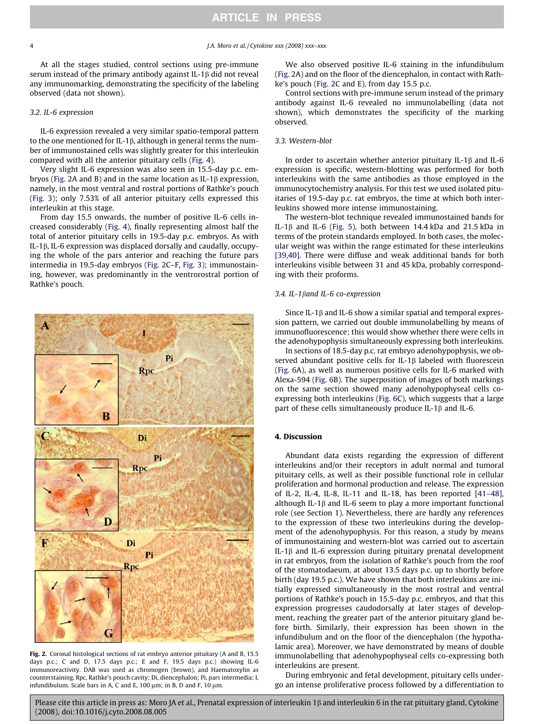At all the stages studied, control sections using pre-immune serum instead of the primary antibody against IL-1 $\beta$  did not reveal any immunomarking, demonstrating the specificity of the labeling observed (data not shown).

#### 3.2. IL-6 expression

IL-6 expression revealed a very similar spatio-temporal pattern to the one mentioned for IL-1 $\beta$ , although in general terms the number of immunostained cells was slightly greater for this interleukin compared with all the anterior pituitary cells ([Fig. 4](#page-4-0)).

Very slight IL-6 expression was also seen in 15.5-day p.c. embryos (Fig. 2A and B) and in the same location as IL-1 $\beta$  expression, namely, in the most ventral and rostral portions of Rathke's pouch ([Fig. 3](#page-4-0)); only 7.53% of all anterior pituitary cells expressed this interleukin at this stage.

From day 15.5 onwards, the number of positive IL-6 cells increased considerably ([Fig. 4](#page-4-0)), finally representing almost half the total of anterior pituitary cells in 19.5-day p.c. embryos. As with IL-1 $\beta$ , IL-6 expression was displaced dorsally and caudally, occupying the whole of the pars anterior and reaching the future pars intermedia in 19.5-day embryos (Fig. 2C–F, [Fig. 3](#page-4-0)); immunostaining, however, was predominantly in the ventrorostral portion of Rathke's pouch.



Fig. 2. Coronal histological sections of rat embryo anterior pituitary (A and B, 15.5 days p.c.; C and D, 17.5 days p.c.; E and F, 19.5 days p.c.) showing IL-6 immunoreactivity. DAB was used as chromogen (brown), and Haematoxylin as counterstaining. Rpc, Rathke's pouch cavity; Di, diencephalon; Pi, pars intermedia; I, infundibulum. Scale bars in A, C and E, 100  $\mu$ m; in B, D and F, 10  $\mu$ m.

We also observed positive IL-6 staining in the infundibulum (Fig. 2A) and on the floor of the diencephalon, in contact with Rathke's pouch (Fig. 2C and E), from day 15.5 p.c.

Control sections with pre-immune serum instead of the primary antibody against IL-6 revealed no immunolabelling (data not shown), which demonstrates the specificity of the marking observed.

# 3.3. Western-blot

In order to ascertain whether anterior pituitary IL-1 $\beta$  and IL-6 expression is specific, western-blotting was performed for both interleukins with the same antibodies as those employed in the immunocytochemistry analysis. For this test we used isolated pituitaries of 19.5-day p.c. rat embryos, the time at which both interleukins showed more intense immunostaining.

The western-blot technique revealed immunostained bands for IL-1 $\beta$  and IL-6 ([Fig. 5\)](#page-4-0), both between 14.4 kDa and 21.5 kDa in terms of the protein standards employed. In both cases, the molecular weight was within the range estimated for these interleukins [\[39,40\]](#page-6-0). There were diffuse and weak additional bands for both interleukins visible between 31 and 45 kDa, probably corresponding with their proforms.

### 3.4. IL-1 $\beta$ and IL-6 co-expression

Since IL-1 $\beta$  and IL-6 show a similar spatial and temporal expression pattern, we carried out double immunolabelling by means of immunofluorescence; this would show whether there were cells in the adenohypophysis simultaneously expressing both interleukins.

In sections of 18.5-day p.c. rat embryo adenohypophysis, we observed abundant positive cells for IL-1 $\beta$  labeled with fluorescein ([Fig. 6](#page-5-0)A), as well as numerous positive cells for IL-6 marked with Alexa-594 ([Fig. 6](#page-5-0)B). The superposition of images of both markings on the same section showed many adenohypophyseal cells coexpressing both interleukins ([Fig. 6](#page-5-0)C), which suggests that a large part of these cells simultaneously produce IL-1 $\beta$  and IL-6.

## 4. Discussion

Abundant data exists regarding the expression of different interleukins and/or their receptors in adult normal and tumoral pituitary cells, as well as their possible functional role in cellular proliferation and hormonal production and release. The expression of IL-2, IL-4, IL-8, IL-11 and IL-18, has been reported [\[41–48\],](#page-6-0) although IL-1 $\beta$  and IL-6 seem to play a more important functional role (see Section 1). Nevertheless, there are hardly any references to the expression of these two interleukins during the development of the adenohypophysis. For this reason, a study by means of immunostaining and western-blot was carried out to ascertain IL-1 $\beta$  and IL-6 expression during pituitary prenatal development in rat embryos, from the isolation of Rathke's pouch from the roof of the stomatodaeum, at about 13.5 days p.c. up to shortly before birth (day 19.5 p.c.). We have shown that both interleukins are initially expressed simultaneously in the most rostral and ventral portions of Rathke's pouch in 15.5-day p.c. embryos, and that this expression progresses caudodorsally at later stages of development, reaching the greater part of the anterior pituitary gland before birth. Similarly, their expression has been shown in the infundibulum and on the floor of the diencephalon (the hypothalamic area). Moreover, we have demonstrated by means of double immunolabelling that adenohypophyseal cells co-expressing both interleukins are present.

During embryonic and fetal development, pituitary cells undergo an intense proliferative process followed by a differentiation to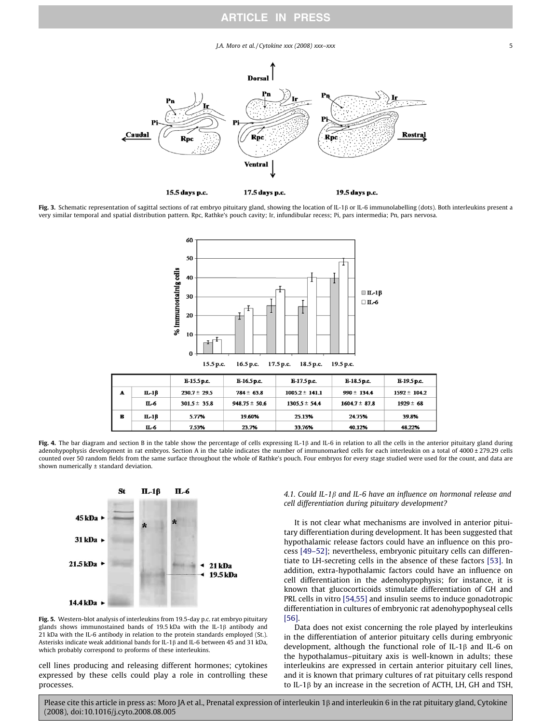#### $J.A.$  Moro et al. / Cytokine xxx (2008) xxx–xxx  $5$

<span id="page-4-0"></span>

Fig. 3. Schematic representation of sagittal sections of rat embryo pituitary gland, showing the location of IL-1 $\beta$  or IL-6 immunolabelling (dots). Both interleukins present a very similar temporal and spatial distribution pattern. Rpc, Rathke's pouch cavity; Ir, infundibular recess; Pi, pars intermedia; Pn, pars nervosa.



Fig. 4. The bar diagram and section B in the table show the percentage of cells expressing IL-1 $\beta$  and IL-6 in relation to all the cells in the anterior pituitary gland during adenohypophysis development in rat embryos. Section A in the table indicates the number of immunomarked cells for each interleukin on a total of 4000 ± 279.29 cells counted over 50 random fields from the same surface throughout the whole of Rathke's pouch. Four embryos for every stage studied were used for the count, and data are shown numerically ± standard deviation.



Fig. 5. Western-blot analysis of interleukins from 19.5-day p.c. rat embryo pituitary glands shows immunostained bands of 19.5 kDa with the IL-1 $\beta$  antibody and 21 kDa with the IL-6 antibody in relation to the protein standards employed (St.). Asterisks indicate weak additional bands for IL-1 $\beta$  and IL-6 between 45 and 31 kDa, which probably correspond to proforms of these interleukins.

cell lines producing and releasing different hormones; cytokines expressed by these cells could play a role in controlling these processes.

4.1. Could IL-1 $\beta$  and IL-6 have an influence on hormonal release and cell differentiation during pituitary development?

It is not clear what mechanisms are involved in anterior pituitary differentiation during development. It has been suggested that hypothalamic release factors could have an influence on this process [\[49–52\]](#page-6-0); nevertheless, embryonic pituitary cells can differentiate to LH-secreting cells in the absence of these factors [\[53\]](#page-7-0). In addition, extra-hypothalamic factors could have an influence on cell differentiation in the adenohypophysis; for instance, it is known that glucocorticoids stimulate differentiation of GH and PRL cells in vitro [\[54,55\]](#page-7-0) and insulin seems to induce gonadotropic differentiation in cultures of embryonic rat adenohypophyseal cells [\[56\]](#page-7-0).

Data does not exist concerning the role played by interleukins in the differentiation of anterior pituitary cells during embryonic development, although the functional role of IL-1 $\beta$  and IL-6 on the hypothalamus–pituitary axis is well-known in adults; these interleukins are expressed in certain anterior pituitary cell lines, and it is known that primary cultures of rat pituitary cells respond to IL-1 $\beta$  by an increase in the secretion of ACTH, LH, GH and TSH,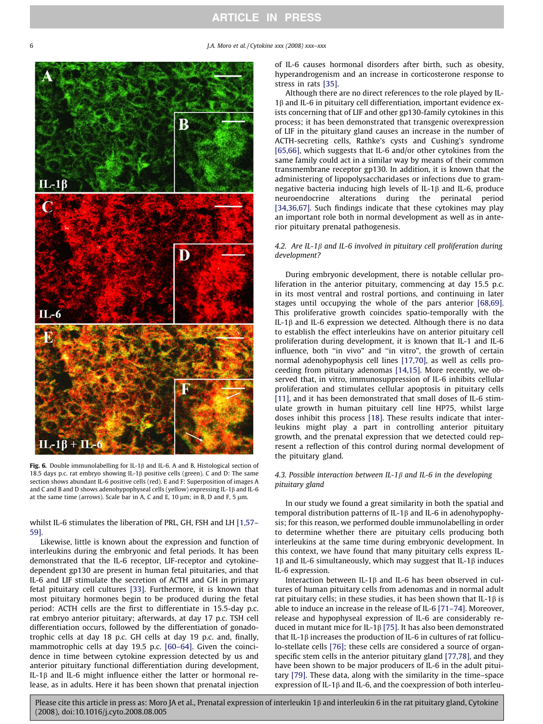<span id="page-5-0"></span>6 J.A. Moro et al. / Cytokine xxx (2008) xxx–xxx



Fig. 6. Double immunolabelling for IL-1 $\beta$  and IL-6. A and B, Histological section of 18.5 days p.c. rat embryo showing IL-1 $\beta$  positive cells (green). C and D: The same section shows abundant IL-6 positive cells (red). E and F: Superposition of images A and C and B and D shows adenohypophyseal cells (yellow) expressing IL-1 $\beta$  and IL-6 at the same time (arrows). Scale bar in A, C and E, 10  $\mu$ m; in B, D and F, 5  $\mu$ m.

whilst IL-6 stimulates the liberation of PRL, GH, FSH and LH [\[1,57–](#page-6-0) [59\]](#page-6-0).

Likewise, little is known about the expression and function of interleukins during the embryonic and fetal periods. It has been demonstrated that the IL-6 receptor, LIF-receptor and cytokinedependent gp130 are present in human fetal pituitaries, and that IL-6 and LIF stimulate the secretion of ACTH and GH in primary fetal pituitary cell cultures [\[33\]](#page-6-0). Furthermore, it is known that most pituitary hormones begin to be produced during the fetal period: ACTH cells are the first to differentiate in 15.5-day p.c. rat embryo anterior pituitary; afterwards, at day 17 p.c. TSH cell differentiation occurs, followed by the differentiation of gonadotrophic cells at day 18 p.c. GH cells at day 19 p.c. and, finally, mammotrophic cells at day 19.5 p.c. [\[60–64\].](#page-7-0) Given the coincidence in time between cytokine expression detected by us and anterior pituitary functional differentiation during development, IL-1 $\beta$  and IL-6 might influence either the latter or hormonal release, as in adults. Here it has been shown that prenatal injection

of IL-6 causes hormonal disorders after birth, such as obesity, hyperandrogenism and an increase in corticosterone response to stress in rats [\[35\]](#page-6-0).

Although there are no direct references to the role played by IL- $1\beta$  and IL-6 in pituitary cell differentiation, important evidence exists concerning that of LIF and other gp130-family cytokines in this process; it has been demonstrated that transgenic overexpression of LIF in the pituitary gland causes an increase in the number of ACTH-secreting cells, Rathke's cysts and Cushing's syndrome [\[65,66\],](#page-7-0) which suggests that IL-6 and/or other cytokines from the same family could act in a similar way by means of their common transmembrane receptor gp130. In addition, it is known that the administering of lipopolysaccharidases or infections due to gramnegative bacteria inducing high levels of IL-1 $\beta$  and IL-6, produce neuroendocrine alterations during the perinatal period [\[34,36,67\].](#page-6-0) Such findings indicate that these cytokines may play an important role both in normal development as well as in anterior pituitary prenatal pathogenesis.

# 4.2. Are IL-1 $\beta$  and IL-6 involved in pituitary cell proliferation during development?

During embryonic development, there is notable cellular proliferation in the anterior pituitary, commencing at day 15.5 p.c. in its most ventral and rostral portions, and continuing in later stages until occupying the whole of the pars anterior [\[68,69\].](#page-7-0) This proliferative growth coincides spatio-temporally with the IL-1 $\beta$  and IL-6 expression we detected. Although there is no data to establish the effect interleukins have on anterior pituitary cell proliferation during development, it is known that IL-1 and IL-6 influence, both ''in vivo" and ''in vitro", the growth of certain normal adenohypophysis cell lines [\[17,70\]](#page-6-0), as well as cells proceeding from pituitary adenomas [\[14,15\].](#page-6-0) More recently, we observed that, in vitro, immunosuppression of IL-6 inhibits cellular proliferation and stimulates cellular apoptosis in pituitary cells [\[11\]](#page-6-0), and it has been demonstrated that small doses of IL-6 stimulate growth in human pituitary cell line HP75, whilst large doses inhibit this process [\[18\].](#page-6-0) These results indicate that interleukins might play a part in controlling anterior pituitary growth, and the prenatal expression that we detected could represent a reflection of this control during normal development of the pituitary gland.

# 4.3. Possible interaction between IL-1 $\beta$  and IL-6 in the developing pituitary gland

In our study we found a great similarity in both the spatial and temporal distribution patterns of IL-1 $\beta$  and IL-6 in adenohypophysis; for this reason, we performed double immunolabelling in order to determine whether there are pituitary cells producing both interleukins at the same time during embryonic development. In this context, we have found that many pituitary cells express IL-1 $\beta$  and IL-6 simultaneously, which may suggest that IL-1 $\beta$  induces IL-6 expression.

Interaction between IL-1 $\beta$  and IL-6 has been observed in cultures of human pituitary cells from adenomas and in normal adult rat pituitary cells; in these studies, it has been shown that IL-1 $\beta$  is able to induce an increase in the release of IL-6 [\[71–74\]](#page-7-0). Moreover, release and hypophyseal expression of IL-6 are considerably reduced in mutant mice for IL-1 $\beta$  [\[75\].](#page-7-0) It has also been demonstrated that IL-1 $\beta$  increases the production of IL-6 in cultures of rat folliculo-stellate cells [\[76\]](#page-7-0); these cells are considered a source of organspecific stem cells in the anterior pituitary gland [\[77,78\]](#page-7-0), and they have been shown to be major producers of IL-6 in the adult pituitary [\[79\]](#page-7-0). These data, along with the similarity in the time–space expression of IL-1 $\beta$  and IL-6, and the coexpression of both interleu-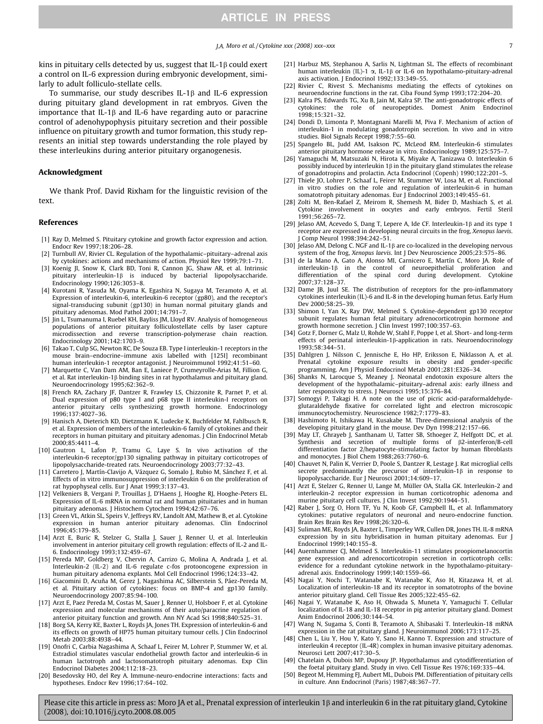<span id="page-6-0"></span>kins in pituitary cells detected by us, suggest that IL-1 $\beta$  could exert a control on IL-6 expression during embryonic development, similarly to adult folliculo-stellate cells.

To summarise, our study describes IL-1 $\beta$  and IL-6 expression during pituitary gland development in rat embryos. Given the importance that IL-1 $\beta$  and IL-6 have regarding auto or paracrine control of adenohypophysis pituitary secretion and their possible influence on pituitary growth and tumor formation, this study represents an initial step towards understanding the role played by these interleukins during anterior pituitary organogenesis.

#### Acknowledgment

We thank Prof. David Rixham for the linguistic revision of the text.

#### References

- [1] Ray D, Melmed S. Pituitary cytokine and growth factor expression and action. Endocr Rev 1997;18:206–28.
- [2] Turnbull AV, Rivier CL. Regulation of the hypothalamic–pituitary–adrenal axis by cytokines: actions and mechanisms of action. Physiol Rev 1999;79:1–71.
- [3] Koenig JI, Snow K, Clark BD, Toni R, Cannon JG, Shaw AR, et al. Intrinsic  $p$ ituitary interleukin-1 $\beta$  is induced by bacterial lipopolysaccharide. Endocrinology 1990;126:3053–8.
- [4] Kurotani R, Yasuda M, Oyama K, Egashira N, Sugaya M, Teramoto A, et al. Expression of interleukin-6, interleukin-6 receptor (gp80), and the receptor's signal-transducing subunit (gp130) in human normal pituitary glands and pituitary adenomas. Mod Pathol 2001;14:791–7.
- [5] Jin L, Tsumanuma I, Ruebel KH, Bayliss JM, Lloyd RV. Analysis of homogeneous populations of anterior pituitary folliculostellate cells by laser capture microdissection and reverse transcription-polymerase chain reaction. Endocrinology 2001;142:1703–9.
- [6] Takao T, Culp SG, Newton RC, De Souza EB. Type I interleukin-1 receptors in the mouse brain–endocrine–immune axis labelled with [125I] recombinant human interleukin-1 receptor antagonist. J Neuroimmunol 1992;41:51–60.
- [7] Marquette C, Van Dam AM, Ban E, Laniece P, Crumeyrolle-Arias M, Fillion G, et al. Rat interleukin-1 $\beta$  binding sites in rat hypothalamus and pituitary gland. Neuroendocrinology 1995;62:362–9.
- [8] French RA, Zachary JF, Dantzer R, Frawley LS, Chizzonite R, Parnet P, et al. Dual expression of p80 type I and p68 type II interleukin-I receptors on anterior pituitary cells synthesizing growth hormone. Endocrinology 1996;137:4027–36.
- [9] Hanisch A, Dieterich KD, Dietzmann K, Ludecke K, Buchfelder M, Fahlbusch R, et al. Expression of members of the interleukin-6 family of cytokines and their receptors in human pituitary and pituitary adenomas. J Clin Endocrinol Metab 2000;85:4411–4.
- [10] Gautron L, Lafon P, Tramu G, Laye S. In vivo activation of the interleukin-6 receptor/gp130 signaling pathway in pituitary corticotropes of lipopolysaccharide-treated rats. Neuroendocrinology 2003;77:32–43.
- Carretero J, Martín-Clavijo A, Vázquez G, Somalo J, Rubio M, Sánchez F, et al. Effects of in vitro immunosuppression of interleukin 6 on the proliferation of rat hypophyseal cells. Eur J Anat 1999;3:137–43.
- [12] Velkeniers B, Vergani P, Trouillas J, D'Haens J, Hooghe RJ, Hooghe-Peters EL. Expression of IL-6 mRNA in normal rat and human pituitaries and in human pituitary adenomas. J Histochem Cytochem 1994;42:67–76.
- [13] Green VL, Atkin SL, Speirs V, Jeffreys RV, Landolt AM, Mathew B, et al. Cytokine expression in human anterior pituitary adenomas. Clin Endocrinol 1996;45:179–85.
- [14] Arzt E, Buric R, Stelzer G, Stalla J, Sauer J, Renner U, et al. Interleukin involvement in anterior pituitary cell growth regulation: effects of IL-2 and IL-6. Endocrinology 1993;132:459–67.
- [15] Pereda MP, Goldberg V, Chervin A, Carrizo G, Molina A, Andrada J, et al. Interleukin-2 (IL-2) and IL-6 regulate c-fos protooncogene expression in human pituitary adenoma explants. Mol Cell Endocrinol 1996;124:33–42.
- [16] Giacomini D, Acuña M, Gerez J, Nagashima AC, Silberstein S, Páez-Pereda M, et al. Pituitary action of cytokines: focus on BMP-4 and gp130 family. Neuroendocrinology 2007;85:94–100.
- [17] Arzt E, Paez Pereda M, Costas M, Sauer J, Renner U, Holsboer F, et al. Cytokine expression and molecular mechanisms of their auto/paracrine regulation of anterior pituitary function and growth. Ann NY Acad Sci 1998;840:525–31.
- [18] Borg SA, Kerry KE, Baxter L, Royds JA, Jones TH. Expression of interleukin-6 and its effects on growth of HP75 human pituitary tumour cells. J Clin Endocrinol Metab 2003;88:4938–44.
- [19] Onofri C, Carbia Nagashima A, Schaaf L, Feirer M, Lohrer P, Stummer W, et al. Estradiol stimulates vascular endothelial growth factor and interleukin-6 in human lactotroph and lactosomatotroph pituitary adenomas. Exp Clin Endocrinol Diabetes 2004;112:18–23.
- [20] Besedovsky HO, del Rey A. Immune-neuro-endocrine interactions: facts and hypotheses. Endocr Rev 1996;17:64–102.
- [21] Harbuz MS, Stephanou A, Sarlis N, Lightman SL. The effects of recombinant human interleukin (IL)-1  $\alpha$ , IL-1 $\beta$  or IL-6 on hypothalamo-pituitary-adrenal axis activation. J Endocrinol 1992;133:349–55.
- [22] Rivier C, Rivest S. Mechanisms mediating the effects of cytokines on neuroendocrine functions in the rat. Ciba Found Symp 1993;172:204–20.
- [23] Kalra PS, Edwards TG, Xu B, Jain M, Kalra SP. The anti-gonadotropic effects of cytokines: the role of neuropeptides. Domest Anim Endocrinol 1998;15:321–32.
- [24] Dondi D, Limonta P, Montagnani Marelli M, Piva F. Mechanism of action of interleukin-1 in modulating gonadotropin secretion. In vivo and in vitro studies. Biol Signals Recept 1998;7:55–60.
- [25] Spangelo BL, Judd AM, Isakson PC, McLeod RM. Interleukin-6 stimulates anterior pituitary hormone release in vitro. Endocrinology 1989;125:575–7.
- [26] Yamaguchi M, Matsuzaki N, Hirota K, Miyake A, Tanizawa O. Interleukin 6 possibly induced by interleukin 1 $\beta$  in the pituitary gland stimulates the release of gonadotropins and prolactin. Acta Endocrinol (Copenh) 1990;122:201–5.
- [27] Thiele JO, Lohrer P, Schaaf L, Feirer M, Stummer W, Losa M, et al. Functional in vitro studies on the role and regulation of interleukin-6 in human somatotroph pituitary adenomas. Eur J Endocrinol 2003;149:455–61.
- [28] Zolti M, Ben-Rafael Z, Meirom R, Shemesh M, Bider D, Mashiach S, et al. Cytokine involvement in oocytes and early embryos. Fertil Steril 1991;56:265–72.
- [29] Jelaso AM, Acevedo S, Dang T, Lepere A, Ide CF. Interleukin-1 $\beta$  and its type 1 receptor are expressed in developing neural circuits in the frog, Xenopus laevis. J Comp Neurol 1998;394:242–51.
- [30] Jelaso AM, Delong C. NGF and IL-1b are co-localized in the developing nervous system of the frog, Xenopus laevis. Int J Dev Neuroscience 2005;23:575–86.
- [31] de la Mano A, Gato A, Alonso MI, Carnicero E, Martín C, Moro JA. Role of interleukin-1 $\beta$  in the control of neuroepithelial proliferation and differentiation of the spinal cord during development. Cytokine 2007;37:128–37.
- [32] Dame JB, Juul SE. The distribution of receptors for the pro-inflammatory cytokines interleukin (IL)-6 and IL-8 in the developing human fetus. Early Hum Dev 2000;58:25–39.
- [33] Shimon I, Yan X, Ray DW, Melmed S. Cytokine-dependent gp130 receptor subunit regulates human fetal pituitary adrenocorticotropin hormone and growth hormone secretion. J Clin Invest 1997;100:357–63.
- [34] Gotz F, Dorner G, Malz U, Rohde W, Stahl F, Poppe I, et al. Short- and long-term effects of perinatal interleukin-1 $\beta$ -application in rats. Neuroendocrinology 1993;58:344–51.
- [35] Dahlgren J, Nilsson C, Jennische E, Ho HP, Eriksson E, Niklasson A, et al. Prenatal cytokine exposure results in obesity and gender-specific programming. Am J Physiol Endocrinol Metab 2001;281:E326–34.
- [36] Shanks N, Larocque S, Meaney J. Neonatal endotoxin exposure alters the development of the hypothalamic–pituitary–adrenal axis: early illness and later responsivity to stress. J Neurosci 1995;15:376-84.
- [37] Somogyi P, Takagi H. A note on the use of picric acid-paraformaldehydeglutaraldehyde fixative for correlated light and electron microscopic immunocytochemistry. Neuroscience 1982;7:1779–83.
- [38] Hashimoto H, Ishikawa H, Kusakabe M. Three-dimensional analysis of the developing pituitary gland in the mouse. Dev Dyn 1998;212:157–66.
- [39] May LT, Ghrayeb J, Santhanam U, Tatter SB, Sthoeger Z, Helfgott DC, et al. Synthesis and secretion of multiple forms of  $\beta$ 2-interferon/B-cell differentiation factor 2/hepatocyte-stimulating factor by human fibroblasts and monocytes. J Biol Chem 1988;263:7760–6.
- [40] Chauvet N, Palin K, Verrier D, Poole S, Dantzer R, Lestage J. Rat microglial cells secrete predominantly the precursor of interleukin- $1\beta$  in response to lipopolysaccharide. Eur J Neurosci 2001;14:609–17.
- [41] Arzt E, Stelzer G, Renner U, Lange M, Müller OA, Stalla GK. Interleukin-2 and interleukin-2 receptor expression in human corticotrophic adenoma and murine pituitary cell cultures. J Clin Invest 1992;90:1944–51.
- [42] Raber J, Sorg O, Horn TF, Yu N, Koob GF, Campbell IL, et al. Inflammatory cytokines: putative regulators of neuronal and neuro-endocrine function. Brain Res Brain Res Rev 1998;26:320–6.
- [43] Suliman ME, Royds JA, Baxter L, Timperley WR, Cullen DR, Jones TH. IL-8 mRNA expression by in situ hybridisation in human pituitary adenomas. Eur J Endocrinol 1999;140:155–8.
- [44] Auernhammer CJ, Melmed S. Interleukin-11 stimulates proopiomelanocortin gene expression and adrenocorticotropin secretion in corticotroph cells: evidence for a redundant cytokine network in the hypothalamo-pituitaryadrenal axis. Endocrinology 1999;140:1559–66.
- [45] Nagai Y, Nochi T, Watanabe K, Watanabe K, Aso H, Kitazawa H, et al. Localization of interleukin-18 and its receptor in somatotrophs of the bovine anterior pituitary gland. Cell Tissue Res 2005;322:455–62.
- [46] Nagai Y, Watanabe K, Aso H, Ohwada S, Muneta Y, Yamaguchi T. Cellular localization of IL-18 and IL-18 receptor in pig anterior pituitary gland. Domest Anim Endocrinol 2006;30:144–54.
- [47] Wang N, Sugama S, Conti B, Teramoto A, Shibasaki T. Interleukin-18 mRNA expression in the rat pituitary gland. J Neuroimmunol 2006;173:117–25.
- [48] Chen L, Liu Y, Hou Y, Kato Y, Sano H, Kanno T. Expression and structure of interleukin 4 receptor (IL-4R) complex in human invasive pituitary adenomas. Neurosci Lett 2007;417:30–5.
- [49] Chatelain A, Dubois MP, Dupouy JP. Hypothalamus and cytodifferentiation of the foetal pituitary gland. Study in vivo. Cell Tissue Res 1976;169:335–44.
- [50] Begeot M, Hemming FJ, Aubert ML, Dubois PM. Differentiation of pituitary cells in culture. Ann Endocrinol (Paris) 1987;48:367–77.